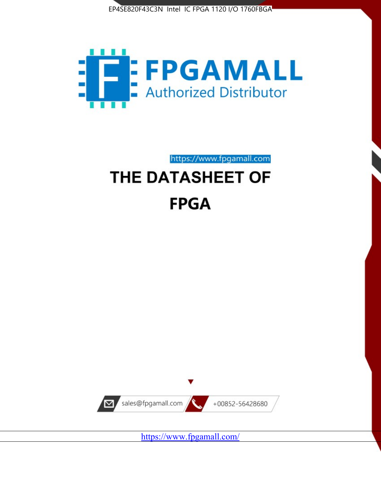



https://www.fpgamall.com

# THE DATASHEET OF **FPGA**



<https://www.fpgamall.com/>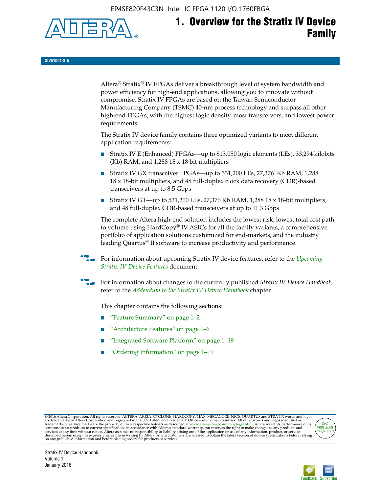EP4SE820F43C3N Intel IC FPGA 1120 I/O 1760FBGA



# **1. Overview for the Stratix IV Device Family**

**SIV51001-3.5**

Altera® Stratix® IV FPGAs deliver a breakthrough level of system bandwidth and power efficiency for high-end applications, allowing you to innovate without compromise. Stratix IV FPGAs are based on the Taiwan Semiconductor Manufacturing Company (TSMC) 40-nm process technology and surpass all other high-end FPGAs, with the highest logic density, most transceivers, and lowest power requirements.

The Stratix IV device family contains three optimized variants to meet different application requirements:

- Stratix IV E (Enhanced) FPGAs—up to 813,050 logic elements (LEs), 33,294 kilobits (Kb) RAM, and 1,288 18 x 18 bit multipliers
- Stratix IV GX transceiver FPGAs—up to 531,200 LEs, 27,376 Kb RAM, 1,288 18 x 18-bit multipliers, and 48 full-duplex clock data recovery (CDR)-based transceivers at up to 8.5 Gbps
- Stratix IV GT—up to 531,200 LEs, 27,376 Kb RAM, 1,288 18 x 18-bit multipliers, and 48 full-duplex CDR-based transceivers at up to 11.3 Gbps

The complete Altera high-end solution includes the lowest risk, lowest total cost path to volume using HardCopy® IV ASICs for all the family variants, a comprehensive portfolio of application solutions customized for end-markets, and the industry leading Quartus® II software to increase productivity and performance.

For information about upcoming Stratix IV device features, refer to the *Upcoming [Stratix IV Device Features](http://www.altera.com/literature/hb/stratix-iv/uf01001.pdf?GSA_pos=2&WT.oss_r=1&WT.oss=upcoming)* document.

f For information about changes to the currently published *Stratix IV Device Handbook*, refer to the *[Addendum to the Stratix IV Device Handbook](http://www.altera.com/literature/hb/stratix-iv/stx4_siv54002.pdf)* chapter.

This chapter contains the following sections:

- "Feature Summary" on page 1–2
- "Architecture Features" on page 1–6
- "Integrated Software Platform" on page 1–19
- "Ordering Information" on page 1–19

@2016 Altera Corporation. All rights reserved. ALTERA, ARRIA, CYCLONE, HARDCOPY, MAX, MEGACORE, NIOS, QUARTUS and STRATIX words and logos are trademarks of Altera Corporation and registered in the U.S. Patent and Trademark



Stratix IV Device Handbook Volume 1 January 2016

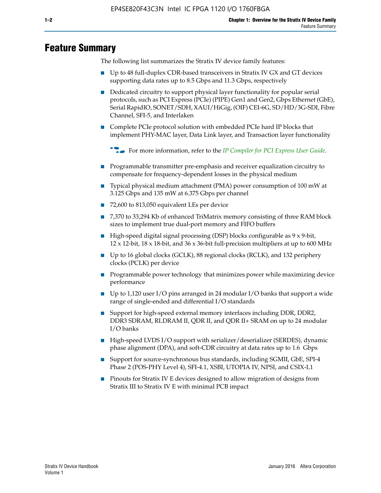# **Feature Summary**

The following list summarizes the Stratix IV device family features:

- Up to 48 full-duplex CDR-based transceivers in Stratix IV GX and GT devices supporting data rates up to 8.5 Gbps and 11.3 Gbps, respectively
- Dedicated circuitry to support physical layer functionality for popular serial protocols, such as PCI Express (PCIe) (PIPE) Gen1 and Gen2, Gbps Ethernet (GbE), Serial RapidIO, SONET/SDH, XAUI/HiGig, (OIF) CEI-6G, SD/HD/3G-SDI, Fibre Channel, SFI-5, and Interlaken
- Complete PCIe protocol solution with embedded PCIe hard IP blocks that implement PHY-MAC layer, Data Link layer, and Transaction layer functionality

**For more information, refer to the** *[IP Compiler for PCI Express User Guide](http://www.altera.com/literature/ug/ug_pci_express.pdf)***.** 

- Programmable transmitter pre-emphasis and receiver equalization circuitry to compensate for frequency-dependent losses in the physical medium
- Typical physical medium attachment (PMA) power consumption of 100 mW at 3.125 Gbps and 135 mW at 6.375 Gbps per channel
- 72,600 to 813,050 equivalent LEs per device
- 7,370 to 33,294 Kb of enhanced TriMatrix memory consisting of three RAM block sizes to implement true dual-port memory and FIFO buffers
- High-speed digital signal processing (DSP) blocks configurable as 9 x 9-bit,  $12 \times 12$ -bit,  $18 \times 18$ -bit, and  $36 \times 36$ -bit full-precision multipliers at up to 600 MHz
- Up to 16 global clocks (GCLK), 88 regional clocks (RCLK), and 132 periphery clocks (PCLK) per device
- Programmable power technology that minimizes power while maximizing device performance
- Up to 1,120 user I/O pins arranged in 24 modular I/O banks that support a wide range of single-ended and differential I/O standards
- Support for high-speed external memory interfaces including DDR, DDR2, DDR3 SDRAM, RLDRAM II, QDR II, and QDR II+ SRAM on up to 24 modular I/O banks
- High-speed LVDS I/O support with serializer/deserializer (SERDES), dynamic phase alignment (DPA), and soft-CDR circuitry at data rates up to 1.6 Gbps
- Support for source-synchronous bus standards, including SGMII, GbE, SPI-4 Phase 2 (POS-PHY Level 4), SFI-4.1, XSBI, UTOPIA IV, NPSI, and CSIX-L1
- Pinouts for Stratix IV E devices designed to allow migration of designs from Stratix III to Stratix IV E with minimal PCB impact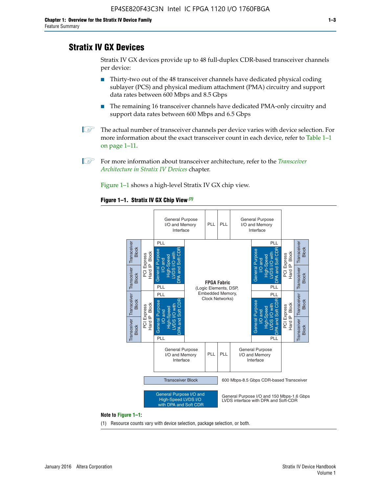# **Stratix IV GX Devices**

Stratix IV GX devices provide up to 48 full-duplex CDR-based transceiver channels per device:

- Thirty-two out of the 48 transceiver channels have dedicated physical coding sublayer (PCS) and physical medium attachment (PMA) circuitry and support data rates between 600 Mbps and 8.5 Gbps
- The remaining 16 transceiver channels have dedicated PMA-only circuitry and support data rates between 600 Mbps and 6.5 Gbps
- **1 The actual number of transceiver channels per device varies with device selection. For** more information about the exact transceiver count in each device, refer to Table 1–1 on page 1–11.
- 1 For more information about transceiver architecture, refer to the *[Transceiver](http://www.altera.com/literature/hb/stratix-iv/stx4_siv52001.pdf)  [Architecture in Stratix IV Devices](http://www.altera.com/literature/hb/stratix-iv/stx4_siv52001.pdf)* chapter.

Figure 1–1 shows a high-level Stratix IV GX chip view.

#### **Figure 1–1. Stratix IV GX Chip View** *(1)*



#### **Note to Figure 1–1:**

(1) Resource counts vary with device selection, package selection, or both.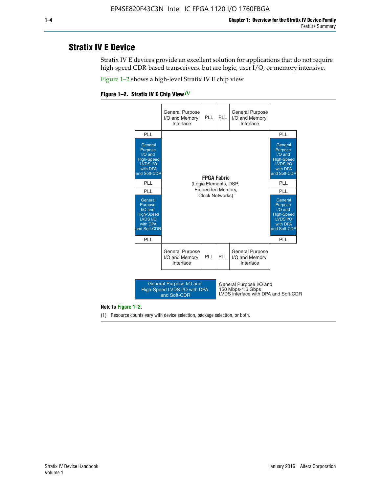# **Stratix IV E Device**

Stratix IV E devices provide an excellent solution for applications that do not require high-speed CDR-based transceivers, but are logic, user I/O, or memory intensive.

Figure 1–2 shows a high-level Stratix IV E chip view.

#### **Figure 1–2. Stratix IV E Chip View** *(1)*



#### **Note to Figure 1–2:**

(1) Resource counts vary with device selection, package selection, or both.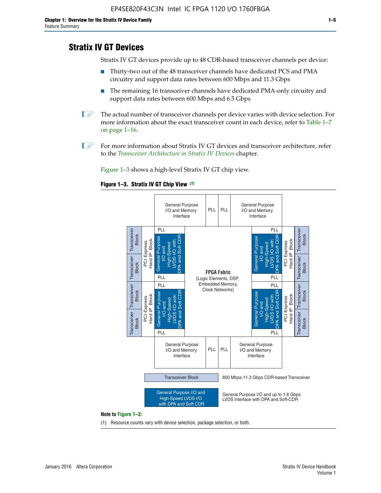# **Stratix IV GT Devices**

Stratix IV GT devices provide up to 48 CDR-based transceiver channels per device:

- Thirty-two out of the 48 transceiver channels have dedicated PCS and PMA circuitry and support data rates between 600 Mbps and 11.3 Gbps
- The remaining 16 transceiver channels have dedicated PMA-only circuitry and support data rates between 600 Mbps and 6.5 Gbps
- **1** The actual number of transceiver channels per device varies with device selection. For more information about the exact transceiver count in each device, refer to Table 1–7 on page 1–16.
- $\mathbb{I}$  For more information about Stratix IV GT devices and transceiver architecture, refer to the *[Transceiver Architecture in Stratix IV Devices](http://www.altera.com/literature/hb/stratix-iv/stx4_siv52001.pdf)* chapter.

Figure 1–3 shows a high-level Stratix IV GT chip view.

#### **Figure 1–3. Stratix IV GT Chip View** *(1)*



(1) Resource counts vary with device selection, package selection, or both.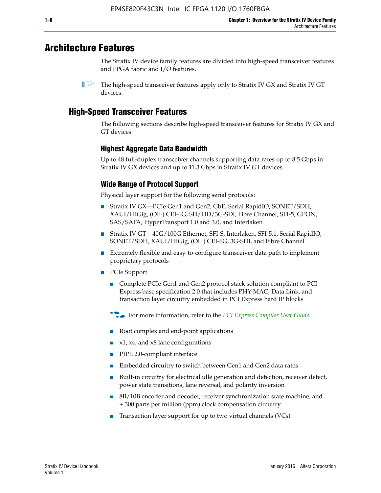# **Architecture Features**

The Stratix IV device family features are divided into high-speed transceiver features and FPGA fabric and I/O features.

 $\mathbb{I}$  The high-speed transceiver features apply only to Stratix IV GX and Stratix IV GT devices.

# **High-Speed Transceiver Features**

The following sections describe high-speed transceiver features for Stratix IV GX and GT devices.

## **Highest Aggregate Data Bandwidth**

Up to 48 full-duplex transceiver channels supporting data rates up to 8.5 Gbps in Stratix IV GX devices and up to 11.3 Gbps in Stratix IV GT devices.

## **Wide Range of Protocol Support**

Physical layer support for the following serial protocols:

- Stratix IV GX—PCIe Gen1 and Gen2, GbE, Serial RapidIO, SONET/SDH, XAUI/HiGig, (OIF) CEI-6G, SD/HD/3G-SDI, Fibre Channel, SFI-5, GPON, SAS/SATA, HyperTransport 1.0 and 3.0, and Interlaken
- Stratix IV GT—40G/100G Ethernet, SFI-S, Interlaken, SFI-5.1, Serial RapidIO, SONET/SDH, XAUI/HiGig, (OIF) CEI-6G, 3G-SDI, and Fibre Channel
- Extremely flexible and easy-to-configure transceiver data path to implement proprietary protocols
- PCIe Support
	- Complete PCIe Gen1 and Gen2 protocol stack solution compliant to PCI Express base specification 2.0 that includes PHY-MAC, Data Link, and transaction layer circuitry embedded in PCI Express hard IP blocks
	- **For more information, refer to the [PCI Express Compiler User Guide](http://www.altera.com/literature/ug/ug_pci_express.pdf).**
	- Root complex and end-point applications
	- $x1, x4,$  and  $x8$  lane configurations
	- PIPE 2.0-compliant interface
	- Embedded circuitry to switch between Gen1 and Gen2 data rates
	- Built-in circuitry for electrical idle generation and detection, receiver detect, power state transitions, lane reversal, and polarity inversion
	- 8B/10B encoder and decoder, receiver synchronization state machine, and ± 300 parts per million (ppm) clock compensation circuitry
	- Transaction layer support for up to two virtual channels (VCs)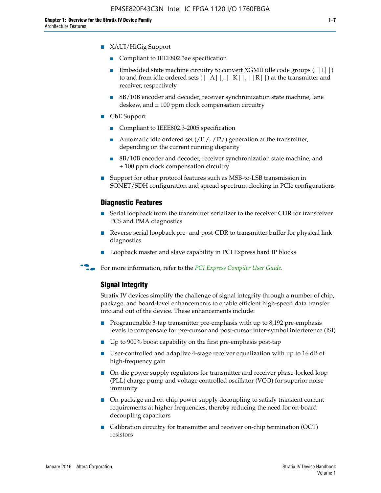- Compliant to IEEE802.3ae specification
- **■** Embedded state machine circuitry to convert XGMII idle code groups  $(|11|)$ to and from idle ordered sets  $(|A|, |K|, |R|)$  at the transmitter and receiver, respectively
- 8B/10B encoder and decoder, receiver synchronization state machine, lane deskew, and  $\pm 100$  ppm clock compensation circuitry
- GbE Support
	- Compliant to IEEE802.3-2005 specification
	- Automatic idle ordered set  $(111/112/1)$  generation at the transmitter, depending on the current running disparity
	- 8B/10B encoder and decoder, receiver synchronization state machine, and ± 100 ppm clock compensation circuitry
- Support for other protocol features such as MSB-to-LSB transmission in SONET/SDH configuration and spread-spectrum clocking in PCIe configurations

## **Diagnostic Features**

- Serial loopback from the transmitter serializer to the receiver CDR for transceiver PCS and PMA diagnostics
- Reverse serial loopback pre- and post-CDR to transmitter buffer for physical link diagnostics
- Loopback master and slave capability in PCI Express hard IP blocks
- **For more information, refer to the** *[PCI Express Compiler User Guide](http://www.altera.com/literature/ug/ug_pci_express.pdf)***.**

## **Signal Integrity**

Stratix IV devices simplify the challenge of signal integrity through a number of chip, package, and board-level enhancements to enable efficient high-speed data transfer into and out of the device. These enhancements include:

- Programmable 3-tap transmitter pre-emphasis with up to 8,192 pre-emphasis levels to compensate for pre-cursor and post-cursor inter-symbol interference (ISI)
- Up to 900% boost capability on the first pre-emphasis post-tap
- User-controlled and adaptive 4-stage receiver equalization with up to 16 dB of high-frequency gain
- On-die power supply regulators for transmitter and receiver phase-locked loop (PLL) charge pump and voltage controlled oscillator (VCO) for superior noise immunity
- On-package and on-chip power supply decoupling to satisfy transient current requirements at higher frequencies, thereby reducing the need for on-board decoupling capacitors
- Calibration circuitry for transmitter and receiver on-chip termination (OCT) resistors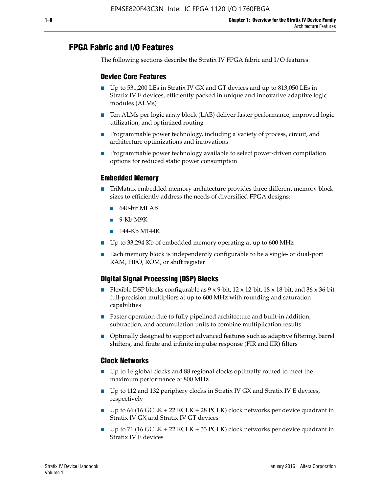# **FPGA Fabric and I/O Features**

The following sections describe the Stratix IV FPGA fabric and I/O features.

## **Device Core Features**

- Up to 531,200 LEs in Stratix IV GX and GT devices and up to 813,050 LEs in Stratix IV E devices, efficiently packed in unique and innovative adaptive logic modules (ALMs)
- Ten ALMs per logic array block (LAB) deliver faster performance, improved logic utilization, and optimized routing
- Programmable power technology, including a variety of process, circuit, and architecture optimizations and innovations
- Programmable power technology available to select power-driven compilation options for reduced static power consumption

## **Embedded Memory**

- TriMatrix embedded memory architecture provides three different memory block sizes to efficiently address the needs of diversified FPGA designs:
	- 640-bit MLAB
	- 9-Kb M9K
	- 144-Kb M144K
- Up to 33,294 Kb of embedded memory operating at up to 600 MHz
- Each memory block is independently configurable to be a single- or dual-port RAM, FIFO, ROM, or shift register

## **Digital Signal Processing (DSP) Blocks**

- Flexible DSP blocks configurable as  $9 \times 9$ -bit,  $12 \times 12$ -bit,  $18 \times 18$ -bit, and  $36 \times 36$ -bit full-precision multipliers at up to 600 MHz with rounding and saturation capabilities
- Faster operation due to fully pipelined architecture and built-in addition, subtraction, and accumulation units to combine multiplication results
- Optimally designed to support advanced features such as adaptive filtering, barrel shifters, and finite and infinite impulse response (FIR and IIR) filters

## **Clock Networks**

- Up to 16 global clocks and 88 regional clocks optimally routed to meet the maximum performance of 800 MHz
- Up to 112 and 132 periphery clocks in Stratix IV GX and Stratix IV E devices, respectively
- Up to 66 (16 GCLK + 22 RCLK + 28 PCLK) clock networks per device quadrant in Stratix IV GX and Stratix IV GT devices
- Up to 71 (16 GCLK + 22 RCLK + 33 PCLK) clock networks per device quadrant in Stratix IV E devices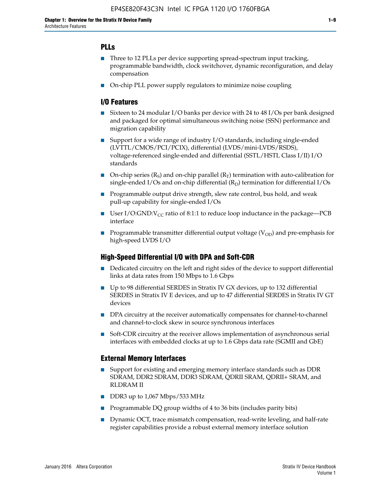## **PLLs**

- Three to 12 PLLs per device supporting spread-spectrum input tracking, programmable bandwidth, clock switchover, dynamic reconfiguration, and delay compensation
- On-chip PLL power supply regulators to minimize noise coupling

#### **I/O Features**

- Sixteen to 24 modular I/O banks per device with 24 to 48 I/Os per bank designed and packaged for optimal simultaneous switching noise (SSN) performance and migration capability
- Support for a wide range of industry I/O standards, including single-ended (LVTTL/CMOS/PCI/PCIX), differential (LVDS/mini-LVDS/RSDS), voltage-referenced single-ended and differential (SSTL/HSTL Class I/II) I/O standards
- **O**n-chip series  $(R_S)$  and on-chip parallel  $(R_T)$  termination with auto-calibration for single-ended I/Os and on-chip differential  $(R_D)$  termination for differential I/Os
- Programmable output drive strength, slew rate control, bus hold, and weak pull-up capability for single-ended I/Os
- User I/O:GND: $V_{CC}$  ratio of 8:1:1 to reduce loop inductance in the package—PCB interface
- **■** Programmable transmitter differential output voltage ( $V_{OD}$ ) and pre-emphasis for high-speed LVDS I/O

#### **High-Speed Differential I/O with DPA and Soft-CDR**

- Dedicated circuitry on the left and right sides of the device to support differential links at data rates from 150 Mbps to 1.6 Gbps
- Up to 98 differential SERDES in Stratix IV GX devices, up to 132 differential SERDES in Stratix IV E devices, and up to 47 differential SERDES in Stratix IV GT devices
- DPA circuitry at the receiver automatically compensates for channel-to-channel and channel-to-clock skew in source synchronous interfaces
- Soft-CDR circuitry at the receiver allows implementation of asynchronous serial interfaces with embedded clocks at up to 1.6 Gbps data rate (SGMII and GbE)

#### **External Memory Interfaces**

- Support for existing and emerging memory interface standards such as DDR SDRAM, DDR2 SDRAM, DDR3 SDRAM, QDRII SRAM, QDRII+ SRAM, and RLDRAM II
- DDR3 up to 1,067 Mbps/533 MHz
- Programmable DQ group widths of 4 to 36 bits (includes parity bits)
- Dynamic OCT, trace mismatch compensation, read-write leveling, and half-rate register capabilities provide a robust external memory interface solution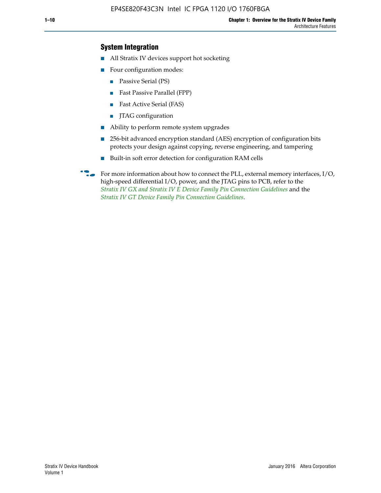## **System Integration**

- All Stratix IV devices support hot socketing
- Four configuration modes:
	- Passive Serial (PS)
	- Fast Passive Parallel (FPP)
	- Fast Active Serial (FAS)
	- JTAG configuration
- Ability to perform remote system upgrades
- 256-bit advanced encryption standard (AES) encryption of configuration bits protects your design against copying, reverse engineering, and tampering
- Built-in soft error detection for configuration RAM cells
- For more information about how to connect the PLL, external memory interfaces,  $I/O$ , high-speed differential I/O, power, and the JTAG pins to PCB, refer to the *[Stratix IV GX and Stratix IV E Device Family Pin Connection Guidelines](http://www.altera.com/literature/dp/stratix4/PCG-01005.pdf)* and the *[Stratix IV GT Device Family Pin Connection Guidelines](http://www.altera.com/literature/dp/stratix4/PCG-01006.pdf)*.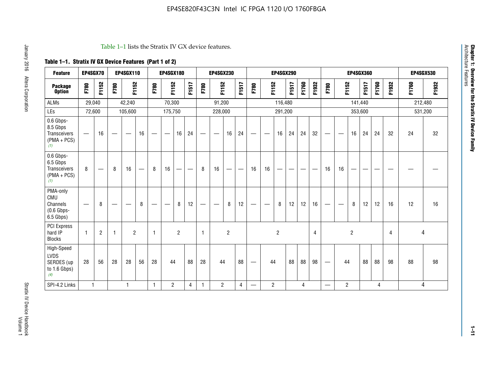#### Table 1–1 lists the Stratix IV GX device features.

# **Table 1–1. Stratix IV GX Device Features (Part 1 of 2)**

| <b>Feature</b>                                                 | EP4SGX70                 |                |                                  | <b>EP4SGX110</b>  |                          |                                | <b>EP4SGX180</b>               |                |       |              | <b>EP4SGX230</b>         |                |       |                                 |                | <b>EP4SGX290</b> |       |       |                |                                 |                   | <b>EP4SGX360</b> |         |       |       |         | <b>EP4SGX530</b> |
|----------------------------------------------------------------|--------------------------|----------------|----------------------------------|-------------------|--------------------------|--------------------------------|--------------------------------|----------------|-------|--------------|--------------------------|----------------|-------|---------------------------------|----------------|------------------|-------|-------|----------------|---------------------------------|-------------------|------------------|---------|-------|-------|---------|------------------|
| <b>Package</b><br><b>Option</b>                                | F780                     | F1152          | F780                             | F1152             |                          | F780                           | F1152                          |                | F1517 | F780         | F1152                    |                | F1517 | F780                            | F1152          |                  | F1517 | F1760 | F1932          | F780                            | F1152             |                  | F1517   | F1760 | F1932 | F1760   | F1932            |
| <b>ALMs</b>                                                    | 29,040                   |                |                                  | 42,240            |                          |                                | 70,300                         |                |       |              | 91,200                   |                |       |                                 |                | 116,480          |       |       |                |                                 |                   |                  | 141,440 |       |       | 212,480 |                  |
| LEs                                                            | 72,600                   |                |                                  | 105,600           |                          |                                | 175,750                        |                |       |              | 228,000                  |                |       |                                 |                | 291,200          |       |       |                |                                 |                   |                  | 353,600 |       |       |         | 531,200          |
| 0.6 Gbps-<br>8.5 Gbps<br>Transceivers<br>$(PMA + PCs)$<br>(1)  | $\overline{\phantom{0}}$ | 16             | $\hspace{0.05cm}$                | $\hspace{0.05cm}$ | 16                       | $\qquad \qquad \longleftarrow$ | $\hspace{0.05cm}$              | 16             | 24    |              | $\overline{\phantom{a}}$ | 16             | 24    | —                               |                | 16               | 24    | 24    | 32             | $\overline{\phantom{0}}$        | $\hspace{0.05cm}$ | 16               | 24      | 24    | 32    | 24      | 32               |
| 0.6 Gbps-<br>6.5 Gbps<br>Transceivers<br>$(PMA + PCs)$<br>(1)  | 8                        |                | 8                                | 16                | $\overline{\phantom{0}}$ | 8                              | 16                             | ÷              |       | 8            | 16                       | —              |       | 16                              | 16             |                  |       |       |                | 16                              | 16                |                  |         |       |       |         |                  |
| PMA-only<br>CMU<br>Channels<br>$(0.6$ Gbps-<br>6.5 Gbps)       | $\overline{\phantom{0}}$ | 8              | $\overbrace{\phantom{12322111}}$ |                   | 8                        | $\qquad \qquad \longleftarrow$ | $\qquad \qquad \longleftarrow$ | 8              | 12    |              |                          | 8              | 12    | $\hspace{0.1mm}-\hspace{0.1mm}$ |                | 8                | 12    | 12    | 16             | $\overline{\phantom{0}}$        | $\hspace{0.05cm}$ | 8                | 12      | 12    | 16    | 12      | 16               |
| PCI Express<br>hard IP<br><b>Blocks</b>                        | $\mathbf{1}$             | $\overline{2}$ | $\mathbf 1$                      | $\overline{2}$    |                          | $\mathbf{1}$                   |                                | $\overline{2}$ |       | $\mathbf{1}$ |                          | $\overline{c}$ |       |                                 |                | $\overline{c}$   |       |       | $\overline{4}$ |                                 |                   | $\overline{2}$   |         |       | 4     |         | 4                |
| High-Speed<br><b>LVDS</b><br>SERDES (up<br>to 1.6 Gbps)<br>(4) | 28                       | 56             | 28                               | 28                | 56                       | 28                             | 44                             |                | 88    | 28           | 44                       |                | 88    | —                               | 44             |                  | 88    | 88    | 98             | $\hspace{0.1mm}-\hspace{0.1mm}$ | 44                |                  | 88      | 88    | 98    | 88      | 98               |
| SPI-4.2 Links                                                  | $\mathbf{1}$             |                |                                  | 1                 |                          | $\mathbf{1}$                   | $\overline{c}$                 |                | 4     | 1            | $\overline{c}$           |                | 4     | —                               | $\overline{2}$ |                  |       | 4     |                | $\overline{\phantom{0}}$        | $\overline{2}$    |                  |         | 4     |       |         | 4                |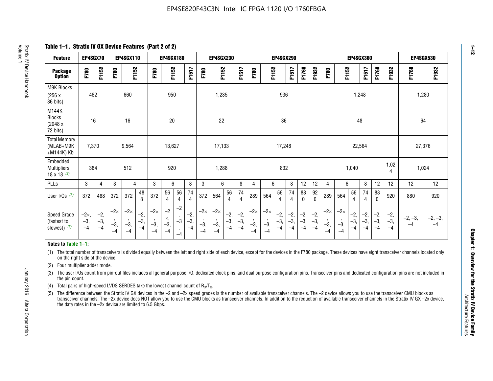**Table 1–1. Stratix IV GX Device Features (Part 2 of 2)**

| <b>Feature</b>                                       | EP4SGX70                |                        |                             | <b>EP4SGX110</b>            |                      |                             | <b>EP4SGX180</b>          |                      |                        |                             | <b>EP4SGX230</b>            |                      |                      |                            |                             | EP4SGX290              |                      |                      |                        |                             |                             |                        | <b>EP4SGX360</b>      |                      |                        | <b>EP4SGX530</b>  |                 |
|------------------------------------------------------|-------------------------|------------------------|-----------------------------|-----------------------------|----------------------|-----------------------------|---------------------------|----------------------|------------------------|-----------------------------|-----------------------------|----------------------|----------------------|----------------------------|-----------------------------|------------------------|----------------------|----------------------|------------------------|-----------------------------|-----------------------------|------------------------|-----------------------|----------------------|------------------------|-------------------|-----------------|
| <b>Package</b><br><b>Option</b>                      | F780                    | F1152                  | F780                        | F1152                       |                      | F780                        | F1152                     |                      | F1517                  | F780                        | F1152                       |                      | F1517                | F780                       | F1152                       |                        | F1517                | F1760                | F1932                  | F780                        | F1152                       |                        | F1517                 | F1760                | F1932                  | F1760             | F1932           |
| M9K Blocks<br>(256x)<br>36 bits)                     | 462                     |                        |                             | 660                         |                      |                             | 950                       |                      |                        |                             | 1,235                       |                      |                      |                            |                             | 936                    |                      |                      |                        |                             |                             | 1,248                  |                       |                      |                        |                   | 1,280           |
| M144K<br><b>Blocks</b><br>(2048 x<br>72 bits)        | 16                      |                        |                             | 16                          |                      |                             | 20                        |                      |                        |                             | 22                          |                      |                      |                            |                             | 36                     |                      |                      |                        |                             |                             | 48                     |                       |                      |                        | 64                |                 |
| <b>Total Memory</b><br>(MLAB+M9K<br>+M144K) Kb       | 7,370                   |                        |                             | 9,564                       |                      |                             | 13,627                    |                      |                        |                             | 17,133                      |                      |                      |                            |                             | 17,248                 |                      |                      |                        |                             |                             | 22,564                 |                       |                      |                        | 27,376            |                 |
| Embedded<br><b>Multipliers</b><br>$18 \times 18$ (2) | 384                     |                        |                             | 512                         |                      |                             | 920                       |                      |                        |                             | 1,288                       |                      |                      |                            |                             | 832                    |                      |                      |                        |                             |                             | 1,040                  |                       |                      | 1,02<br>4              | 1,024             |                 |
| PLLs                                                 | 3                       | $\overline{4}$         | 3                           | 4                           |                      | 3                           | 6                         |                      | 8                      | 3                           | 6                           |                      | 8                    | 4                          | 6                           |                        | 8                    | 12                   | 12                     | 4                           | 6                           |                        | 8                     | 12                   | 12                     | 12                | 12              |
| User $I/Os$ (3)                                      | 372                     | 488                    | 372                         | 372                         | 48<br>8              | 372                         | 56<br>4                   | 56<br>4              | 74<br>4                | 372                         | 564                         | 56<br>$\overline{4}$ | 74<br>$\overline{4}$ | 289                        | 564                         | 56<br>4                | 74<br>4              | 88<br>0              | 92<br>$\mathbf 0$      | 289                         | 564                         | 56<br>4                | 74<br>4               | 88<br>$\mathbf{0}$   | 920                    | 880               | 920             |
| Speed Grade<br>(fastest to<br>slowest) (5)           | $-2x,$<br>$-3,$<br>$-4$ | $-2,$<br>$-3,$<br>$-4$ | $-2\times$<br>$-3,$<br>$-4$ | $-2\times$<br>$-3,$<br>$-4$ | $-2,$<br>-3,<br>$-4$ | $-2\times$<br>$-3,$<br>$-4$ | $-2$<br>×,<br>$-3,$<br>-4 | $-2$<br>$-3$<br>$-4$ | $-2,$<br>$-3,$<br>$-4$ | $-2\times$<br>$-3,$<br>$-4$ | $-2\times$<br>$-3,$<br>$-4$ | $-2,$<br>-3,<br>$-4$ | $-2,$<br>-3,<br>$-4$ | $-2\times$<br>$-3$<br>$-4$ | $-2\times$<br>$-3,$<br>$-4$ | $-2,$<br>$-3,$<br>$-4$ | $-2,$<br>-3,<br>$-4$ | $-2,$<br>-3,<br>$-4$ | $-2,$<br>$-3,$<br>$-4$ | $-2\times$<br>$-3,$<br>$-4$ | $-2\times$<br>$-3,$<br>$-4$ | $-2,$<br>$-3,$<br>$-4$ | $-2,$<br>$-3$<br>$-4$ | $-2,$<br>-3,<br>$-4$ | $-2,$<br>$-3,$<br>$-4$ | $-2, -3,$<br>$-4$ | $-2, -3,$<br>-4 |

#### **Notes to Table 1–1:**

(1) The total number of transceivers is divided equally between the left and right side of each device, except for the devices in the F780 package. These devices have eight transceiver channels located only on the right side of the device.

- (2) Four multiplier adder mode.
- (3) The user I/Os count from pin-out files includes all general purpose I/O, dedicated clock pins, and dual purpose configuration pins. Transceiver pins and dedicated configuration pins are not included in the pin count.
- (4) Total pairs of high-speed LVDS SERDES take the lowest channel count of  $R_X/T_X$ .
- (5) The difference between the Stratix IV GX devices in the –2 and –2x speed grades is the number of available transceiver channels. The –2 device allows you to use the transceiver CMU blocks as transceiver channels. The –2x device does NOT allow you to use the CMU blocks as transceiver channels. In addition to the reduction of available transceiver channels in the Stratix IV GX –2x device, the data rates in the –2x device are limited to 6.5 Gbps.

**1–12**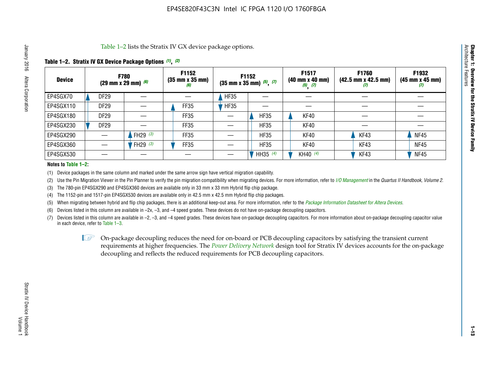Table 1–2 lists the Stratix IV GX device package options.

## **Table 1–2. Stratix IV GX Device Package Options** *(1)***,** *(2)*

| <b>Device</b> | <b>F780</b><br>(29 mm x 29 mm) $(6)$ |            | F1152<br>$(35 \, \text{mm} \times 35 \, \text{mm})$<br>(6) |             | <b>F1152</b><br>$(35 \text{ mm} \times 35 \text{ mm})$ $(5)$ , $(7)$ | F1517<br>(40 mm x 40 mm)<br>$(5)$ $(7)$ | <b>F1760</b><br>$(42.5 \text{ mm} \times 42.5 \text{ mm})$<br>Ш | F1932<br>$(45 \, \text{mm} \times 45 \, \text{mm})$<br>(7) |
|---------------|--------------------------------------|------------|------------------------------------------------------------|-------------|----------------------------------------------------------------------|-----------------------------------------|-----------------------------------------------------------------|------------------------------------------------------------|
| EP4SGX70      | DF <sub>29</sub>                     |            |                                                            | <b>HF35</b> |                                                                      |                                         |                                                                 |                                                            |
| EP4SGX110     | DF <sub>29</sub>                     |            | FF35                                                       | <b>HF35</b> |                                                                      |                                         |                                                                 |                                                            |
| EP4SGX180     | DF <sub>29</sub>                     |            | FF35                                                       |             | <b>HF35</b>                                                          | KF40                                    |                                                                 |                                                            |
| EP4SGX230     | <b>DF29</b>                          |            | FF35                                                       |             | <b>HF35</b>                                                          | KF40                                    |                                                                 |                                                            |
| EP4SGX290     |                                      | FH29 $(3)$ | FF35                                                       |             | <b>HF35</b>                                                          | KF40                                    | KF43                                                            | <b>NF45</b>                                                |
| EP4SGX360     |                                      | FH29 $(3)$ | FF35                                                       |             | <b>HF35</b>                                                          | KF40                                    | KF43                                                            | <b>NF45</b>                                                |
| EP4SGX530     |                                      |            |                                                            |             | HH35 $(4)$                                                           | KH40 $(4)$                              | KF43                                                            | <b>NF45</b>                                                |

#### **Notes to Table 1–2:**

(1) Device packages in the same column and marked under the same arrow sign have vertical migration capability.

(2) Use the Pin Migration Viewer in the Pin Planner to verify the pin migration compatibility when migrating devices. For more information, refer to *[I/O Management](http://www.altera.com/literature/hb/qts/qts_qii52013.pdf)* in the *Quartus II Handbook, Volume 2*.

(3) The 780-pin EP4SGX290 and EP4SGX360 devices are available only in 33 mm x 33 mm Hybrid flip chip package.

(4) The 1152-pin and 1517-pin EP4SGX530 devices are available only in 42.5 mm x 42.5 mm Hybrid flip chip packages.

(5) When migrating between hybrid and flip chip packages, there is an additional keep-out area. For more information, refer to the *[Package Information Datasheet for Altera Devices](http://www.altera.com/literature/ds/dspkg.pdf)*.

(6) Devices listed in this column are available in –2x, –3, and –4 speed grades. These devices do not have on-package decoupling capacitors.

(7) Devices listed in this column are available in –2, –3, and –4 speed grades. These devices have on-package decoupling capacitors. For more information about on-package decoupling capacitor value in each device, refer to Table 1–3.

 $\mathbb{L}$ s On-package decoupling reduces the need for on-board or PCB decoupling capacitors by satisfying the transient current requirements at higher frequencies. The *[Power Delivery Network](http://www.altera.com/literature/ug/pdn_tool_stxiv.zip)* design tool for Stratix IV devices accounts for the on-package decoupling and reflects the reduced requirements for PCB decoupling capacitors.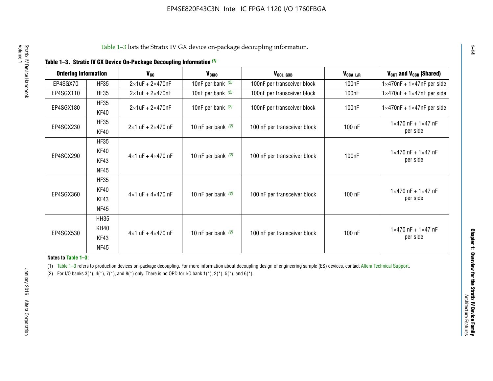|  | Table 1-3. Stratix IV GX Device On-Package Decoupling Information (1) |  |
|--|-----------------------------------------------------------------------|--|
|--|-----------------------------------------------------------------------|--|

| <b>Ordering Information</b> |             | <b>V<sub>cc</sub></b>               | V <sub>ccio</sub>    | V <sub>CCL_GXB</sub>         | $V_{\texttt{CCA}\_\textsf{L/R}}$ | $V_{CCT}$ and $V_{CCR}$ (Shared)              |  |
|-----------------------------|-------------|-------------------------------------|----------------------|------------------------------|----------------------------------|-----------------------------------------------|--|
|                             |             |                                     |                      |                              |                                  |                                               |  |
| EP4SGX70                    | <b>HF35</b> | $2\times1$ uF + $2\times470$ nF     | 10nF per bank $(2)$  | 100nF per transceiver block  | 100nF                            | $1 \times 470$ nF + $1 \times 47$ nF per side |  |
| EP4SGX110                   | <b>HF35</b> | $2\times1$ uF + 2 $\times$ 470nF    | 10nF per bank $(2)$  | 100nF per transceiver block  | 100 <sub>nF</sub>                | $1\times470$ nF + $1\times47$ nF per side     |  |
| EP4SGX180                   | <b>HF35</b> | $2\times1$ uF + $2\times470$ nF     | 10nF per bank $(2)$  | 100nF per transceiver block  | 100 <sub>n</sub> F               | $1 \times 470$ nF + $1 \times 47$ nF per side |  |
|                             | KF40        |                                     |                      |                              |                                  |                                               |  |
|                             | <b>HF35</b> |                                     |                      |                              |                                  | $1 \times 470$ nF + $1 \times 47$ nF          |  |
| EP4SGX230                   | KF40        | $2\times1$ uF + $2\times470$ nF     | 10 nF per bank $(2)$ | 100 nF per transceiver block | 100 nF                           | per side                                      |  |
|                             | <b>HF35</b> |                                     |                      |                              |                                  |                                               |  |
|                             | KF40        |                                     |                      |                              |                                  | $1 \times 470$ nF + $1 \times 47$ nF          |  |
| EP4SGX290                   | KF43        | $4 \times 1$ uF + $4 \times 470$ nF | 10 nF per bank $(2)$ | 100 nF per transceiver block | 100nF                            | per side                                      |  |
|                             | <b>NF45</b> |                                     |                      |                              |                                  |                                               |  |
|                             | <b>HF35</b> |                                     |                      |                              |                                  |                                               |  |
|                             | KF40        |                                     |                      |                              |                                  | $1 \times 470$ nF + $1 \times 47$ nF          |  |
| EP4SGX360                   | KF43        | $4 \times 1$ uF + $4 \times 470$ nF | 10 nF per bank $(2)$ | 100 nF per transceiver block | 100 nF                           | per side                                      |  |
|                             | <b>NF45</b> |                                     |                      |                              |                                  |                                               |  |
|                             | <b>HH35</b> |                                     |                      |                              |                                  |                                               |  |
|                             | <b>KH40</b> |                                     |                      |                              |                                  | $1 \times 470$ nF + $1 \times 47$ nF          |  |
| EP4SGX530                   | KF43        | $4 \times 1$ uF + $4 \times 470$ nF | 10 nF per bank $(2)$ | 100 nF per transceiver block | 100 nF                           | per side                                      |  |
|                             | <b>NF45</b> |                                     |                      |                              |                                  |                                               |  |

**Notes to Table 1–3:**

(1) Table 1-3 refers to production devices on-package decoupling. For more information about decoupling design of engineering sample (ES) devices, contact [Altera Technical Support](http://mysupport.altera.com/eservice/login.asp).

(2) For I/O banks  $3(*)$ ,  $4(*)$ ,  $7(*)$ , and  $8(*)$  only. There is no OPD for I/O bank  $1(*)$ ,  $2(*)$ ,  $5(*)$ , and  $6(*)$ .

**1–14**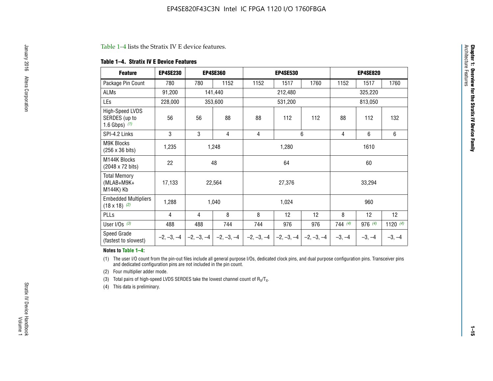#### Table 1–4 lists the Stratix IV E device features.

#### **Table 1–4. Stratix IV E Device Features**

| <b>Feature</b>                                      | <b>EP4SE230</b> |     | <b>EP4SE360</b>                        |              | <b>EP4SE530</b> |              |          | <b>EP4SE820</b> |            |  |
|-----------------------------------------------------|-----------------|-----|----------------------------------------|--------------|-----------------|--------------|----------|-----------------|------------|--|
| Package Pin Count                                   | 780             | 780 | 1152                                   | 1152         | 1517            | 1760         | 1152     | 1517            | 1760       |  |
| ALMs                                                | 91,200          |     | 141,440                                |              | 212,480         |              |          | 325,220         |            |  |
| LEs                                                 | 228,000         |     | 353,600                                |              | 531,200         |              | 813,050  |                 |            |  |
| High-Speed LVDS<br>SERDES (up to<br>1.6 Gbps) $(1)$ | 56              | 56  | 88                                     | 88           | 112             | 112          | 88       | 112             | 132        |  |
| SPI-4.2 Links                                       | 3               | 3   | 4                                      | 4            |                 | 6            | 4        | 6               | 6          |  |
| <b>M9K Blocks</b><br>(256 x 36 bits)                | 1,235           |     | 1,248                                  |              | 1,280           |              |          | 1610            |            |  |
| M144K Blocks<br>(2048 x 72 bits)                    | 22              |     | 48                                     |              | 64              |              |          | 60              |            |  |
| <b>Total Memory</b><br>$(MLAB+M9K+$<br>M144K) Kb    | 17,133          |     | 22,564                                 |              | 27,376          |              |          | 33,294          |            |  |
| <b>Embedded Multipliers</b><br>$(18 \times 18)$ (2) | 1,288           |     | 1,040                                  |              | 1,024           |              | 960      |                 |            |  |
| PLLs                                                | 4               | 4   | 8                                      | 8            | 12              | 12           | 8        | 12              | 12         |  |
| User I/Os $(3)$                                     | 488             | 488 | 744                                    | 744          | 976             | 976          | 744(4)   | 976 (4)         | 1120 $(4)$ |  |
| Speed Grade<br>(fastest to slowest)                 |                 |     | $-2, -3, -4$ $-2, -3, -4$ $-2, -3, -4$ | $-2, -3, -4$ | $-2, -3, -4$    | $-2, -3, -4$ | $-3, -4$ | $-3, -4$        | $-3, -4$   |  |

#### **Notes to Table 1–4:**

(1) The user I/O count from the pin-out files include all general purpose I/Os, dedicated clock pins, and dual purpose configuration pins. Transceiver pins and dedicated configuration pins are not included in the pin count.

(2) Four multiplier adder mode.

(3) Total pairs of high-speed LVDS SERDES take the lowest channel count of  $R_X/T_X$ .

(4) This data is preliminary.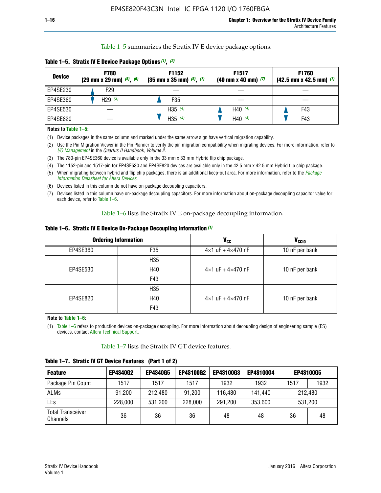Table 1–5 summarizes the Stratix IV E device package options.

| <b>Device</b> | <b>F780</b><br>$(29 \text{ mm} \times 29 \text{ mm})$ $(5)$ , $(6)$ | F1152<br>$(35 \text{ mm} \times 35 \text{ mm})$ $(5)$ , $(7)$ | F <sub>1517</sub><br>$(40 \text{ mm} \times 40 \text{ mm})$ (7) | <b>F1760</b><br>$(42.5$ mm x 42.5 mm) $(7)$ |  |  |
|---------------|---------------------------------------------------------------------|---------------------------------------------------------------|-----------------------------------------------------------------|---------------------------------------------|--|--|
| EP4SE230      | F29                                                                 |                                                               |                                                                 |                                             |  |  |
| EP4SE360      | H29 $(3)$                                                           | F35                                                           |                                                                 |                                             |  |  |
| EP4SE530      |                                                                     | H35 $(4)$                                                     | H40 $(4)$                                                       | F43                                         |  |  |
| EP4SE820      |                                                                     | H35 $(4)$                                                     | H40 $(4)$                                                       | F43                                         |  |  |

**Table 1–5. Stratix IV E Device Package Options** *(1)***,** *(2)*

#### **Notes to Table 1–5:**

(1) Device packages in the same column and marked under the same arrow sign have vertical migration capability.

(2) Use the Pin Migration Viewer in the Pin Planner to verify the pin migration compatibility when migrating devices. For more information, refer to *[I/O Management](http://www.altera.com/literature/hb/qts/qts_qii52013.pdf)* in the *Quartus II Handbook, Volume 2*.

(3) The 780-pin EP4SE360 device is available only in the 33 mm x 33 mm Hybrid flip chip package.

(4) The 1152-pin and 1517-pin for EP4SE530 and EP4SE820 devices are available only in the 42.5 mm x 42.5 mm Hybrid flip chip package.

(5) When migrating between hybrid and flip chip packages, there is an additional keep-out area. For more information, refer to the *[Package](http://www.altera.com/literature/ds/dspkg.pdf)  [Information Datasheet for Altera Devices](http://www.altera.com/literature/ds/dspkg.pdf)*.

(6) Devices listed in this column do not have on-package decoupling capacitors.

(7) Devices listed in this column have on-package decoupling capacitors. For more information about on-package decoupling capacitor value for each device, refer to Table 1–6.

Table 1–6 lists the Stratix IV E on-package decoupling information.

| Table 1–6. Stratix IV E Device On-Package Decoupling Information (1) |  |  |  |  |  |
|----------------------------------------------------------------------|--|--|--|--|--|
|----------------------------------------------------------------------|--|--|--|--|--|

|          | <b>Ordering Information</b> | V <sub>cc</sub>                     | <b>V<sub>CCIO</sub></b> |  |  |
|----------|-----------------------------|-------------------------------------|-------------------------|--|--|
| EP4SE360 | F <sub>35</sub>             | $4 \times 1$ uF + $4 \times 470$ nF | 10 nF per bank          |  |  |
|          | H35                         |                                     |                         |  |  |
| EP4SE530 | H40                         | $4\times1$ uF + $4\times470$ nF     | 10 nF per bank          |  |  |
|          | F43                         |                                     |                         |  |  |
|          | H35                         |                                     |                         |  |  |
| EP4SE820 | H40                         | $4\times1$ uF + $4\times470$ nF     | 10 nF per bank          |  |  |
|          | F43                         |                                     |                         |  |  |

**Note to Table 1–6:**

(1) Table 1–6 refers to production devices on-package decoupling. For more information about decoupling design of engineering sample (ES) devices, contact [Altera Technical Support](http://mysupport.altera.com/eservice/login.asp).

Table 1–7 lists the Stratix IV GT device features.

| <b>Feature</b>                       | <b>EP4S40G2</b> | <b>EP4S40G5</b> | <b>EP4S100G2</b> | <b>EP4S100G3</b> | <b>EP4S100G4</b> | <b>EP4S100G5</b> |      |
|--------------------------------------|-----------------|-----------------|------------------|------------------|------------------|------------------|------|
| Package Pin Count                    | 1517            | 1517            | 1517             | 1932             | 1932             | 1517             | 1932 |
| <b>ALMs</b>                          | 91,200          | 212,480         | 91,200           | 116,480          | 141,440          | 212.480          |      |
| LEs                                  | 228,000         | 531,200         | 228,000          | 291,200          | 353,600          | 531,200          |      |
| <b>Total Transceiver</b><br>Channels | 36              | 36              | 36               | 48               | 48               | 36               | 48   |

**Table 1–7. Stratix IV GT Device Features (Part 1 of 2)**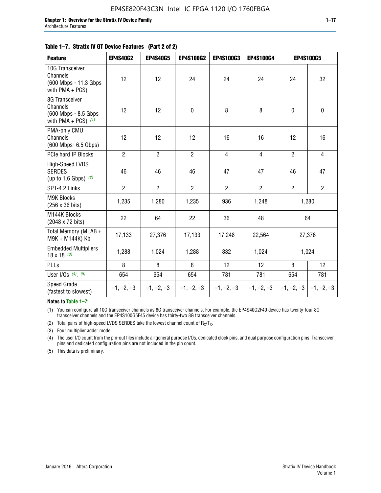#### **Table 1–7. Stratix IV GT Device Features (Part 2 of 2)**

| <b>Feature</b>                                                              | <b>EP4S40G2</b> | <b>EP4S40G5</b> | <b>EP4S100G2</b> | <b>EP4S100G3</b> | <b>EP4S100G4</b> |                | <b>EP4S100G5</b> |
|-----------------------------------------------------------------------------|-----------------|-----------------|------------------|------------------|------------------|----------------|------------------|
| 10G Transceiver<br>Channels<br>(600 Mbps - 11.3 Gbps<br>with PMA + PCS)     | 12              | 12              | 24               | 24               | 24               | 24             | 32               |
| 8G Transceiver<br>Channels<br>(600 Mbps - 8.5 Gbps<br>with PMA + PCS) $(1)$ | 12              | 12              | $\pmb{0}$        | 8                | 8                | 0              | 0                |
| PMA-only CMU<br>Channels<br>(600 Mbps- 6.5 Gbps)                            | 12              | 12              | 12               | 16               | 16               | 12             | 16               |
| PCIe hard IP Blocks                                                         | $\overline{2}$  | $\overline{2}$  | $\overline{2}$   | $\overline{4}$   | $\overline{4}$   | $\overline{2}$ | $\overline{4}$   |
| High-Speed LVDS<br><b>SERDES</b><br>(up to 1.6 Gbps) $(2)$                  | 46              | 46              | 46               | 47               | 47               | 46             | 47               |
| SP1-4.2 Links                                                               | $\overline{2}$  | $\overline{2}$  | $\overline{2}$   | $\overline{2}$   | $\overline{2}$   | $\overline{2}$ | $\overline{2}$   |
| <b>M9K Blocks</b><br>(256 x 36 bits)                                        | 1,235           | 1,280           | 1,235            | 936              | 1,248            |                | 1,280            |
| M144K Blocks<br>(2048 x 72 bits)                                            | 22              | 64              | 22               | 36               | 48               |                | 64               |
| Total Memory (MLAB +<br>M9K + M144K) Kb                                     | 17,133          | 27,376          | 17,133           | 17,248           | 22,564           |                | 27,376           |
| <b>Embedded Multipliers</b><br>$18 \times 18^{(3)}$                         | 1,288           | 1,024           | 1,288            | 832              | 1,024            |                | 1,024            |
| PLLs                                                                        | 8               | 8               | 8                | 12               | 12               | 8              | 12               |
| User I/Os $(4)$ , $(5)$                                                     | 654             | 654             | 654              | 781              | 781              | 654            | 781              |
| Speed Grade<br>(fastest to slowest)                                         | $-1, -2, -3$    | $-1, -2, -3$    | $-1, -2, -3$     | $-1, -2, -3$     | $-1, -2, -3$     | $-1, -2, -3$   | $-1, -2, -3$     |

**Notes to Table 1–7:**

(1) You can configure all 10G transceiver channels as 8G transceiver channels. For example, the EP4S40G2F40 device has twenty-four 8G transceiver channels and the EP4S100G5F45 device has thirty-two 8G transceiver channels.

(2) Total pairs of high-speed LVDS SERDES take the lowest channel count of  $R_X/T_X$ .

(3) Four multiplier adder mode.

(4) The user I/O count from the pin-out files include all general purpose I/Os, dedicated clock pins, and dual purpose configuration pins. Transceiver pins and dedicated configuration pins are not included in the pin count.

(5) This data is preliminary.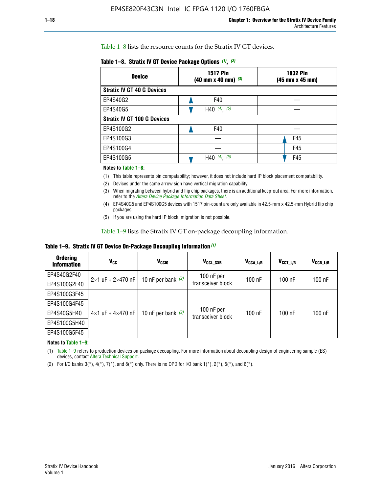Table 1–8 lists the resource counts for the Stratix IV GT devices.

| <b>Device</b>                      | <b>1517 Pin</b><br><b>1932 Pin</b><br>$(40 \text{ mm} \times 40 \text{ mm})$ $(3)$<br>(45 mm x 45 mm) |     |  |
|------------------------------------|-------------------------------------------------------------------------------------------------------|-----|--|
| <b>Stratix IV GT 40 G Devices</b>  |                                                                                                       |     |  |
| EP4S40G2                           | F40                                                                                                   |     |  |
| EP4S40G5                           | H40 $(4)$ , $(5)$                                                                                     |     |  |
| <b>Stratix IV GT 100 G Devices</b> |                                                                                                       |     |  |
| EP4S100G2                          | F40                                                                                                   |     |  |
| EP4S100G3                          |                                                                                                       | F45 |  |
| EP4S100G4                          |                                                                                                       | F45 |  |
| EP4S100G5                          | (5)<br>$(4)$ ,<br>H40                                                                                 | F45 |  |

#### **Notes to Table 1–8:**

(1) This table represents pin compatability; however, it does not include hard IP block placement compatability.

- (2) Devices under the same arrow sign have vertical migration capability.
- (3) When migrating between hybrid and flip chip packages, there is an additional keep-out area. For more information, refer to the *[Altera Device Package Information Data Sheet](http://www.altera.com/literature/ds/dspkg.pdf)*.
- (4) EP4S40G5 and EP4S100G5 devices with 1517 pin-count are only available in 42.5-mm x 42.5-mm Hybrid flip chip packages.
- (5) If you are using the hard IP block, migration is not possible.

Table 1–9 lists the Stratix IV GT on-package decoupling information.

**Table 1–9. Stratix IV GT Device On-Package Decoupling Information** *(1)*

| <b>Ordering</b><br><b>Information</b> | Vcc                                 | <b>V<sub>CCIO</sub></b> | V <sub>CCL GXB</sub>            | V <sub>CCA L/R</sub> | V <sub>CCT L/R</sub> | $V_{CCR\_L/R}$ |
|---------------------------------------|-------------------------------------|-------------------------|---------------------------------|----------------------|----------------------|----------------|
| EP4S40G2F40                           | $2 \times 1$ uF + $2 \times 470$ nF | 10 nF per bank $(2)$    | 100 nF per<br>transceiver block | $100$ nF             | $100$ nF             | $100$ nF       |
| EP4S100G2F40                          |                                     |                         |                                 |                      |                      |                |
| EP4S100G3F45                          |                                     | 10 nF per bank $(2)$    | 100 nF per<br>transceiver block | $100$ nF             | $100$ nF             | $100$ nF       |
| EP4S100G4F45                          |                                     |                         |                                 |                      |                      |                |
| EP4S40G5H40                           | $4\times1$ uF + $4\times470$ nF     |                         |                                 |                      |                      |                |
| EP4S100G5H40                          |                                     |                         |                                 |                      |                      |                |
| EP4S100G5F45                          |                                     |                         |                                 |                      |                      |                |

**Notes to Table 1–9:**

(1) Table 1–9 refers to production devices on-package decoupling. For more information about decoupling design of engineering sample (ES) devices, contact [Altera Technical Support](http://mysupport.altera.com/eservice/login.asp).

(2) For I/O banks  $3(*)$ ,  $4(*)$ ,  $7(*)$ , and  $8(*)$  only. There is no OPD for I/O bank  $1(*)$ ,  $2(*)$ ,  $5(*)$ , and  $6(*)$ .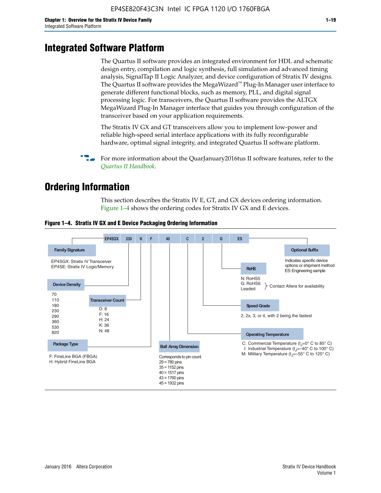# **Integrated Software Platform**

The Quartus II software provides an integrated environment for HDL and schematic design entry, compilation and logic synthesis, full simulation and advanced timing analysis, SignalTap II Logic Analyzer, and device configuration of Stratix IV designs. The Quartus II software provides the MegaWizard<sup> $M$ </sup> Plug-In Manager user interface to generate different functional blocks, such as memory, PLL, and digital signal processing logic. For transceivers, the Quartus II software provides the ALTGX MegaWizard Plug-In Manager interface that guides you through configuration of the transceiver based on your application requirements.

The Stratix IV GX and GT transceivers allow you to implement low-power and reliable high-speed serial interface applications with its fully reconfigurable hardware, optimal signal integrity, and integrated Quartus II software platform.

For more information about the QuarJanuary2016tus II software features, refer to the *[Quartus II Handbook](http://www.altera.com/literature/lit-qts.jsp)*.

# **Ordering Information**

This section describes the Stratix IV E, GT, and GX devices ordering information. Figure 1–4 shows the ordering codes for Stratix IV GX and E devices.



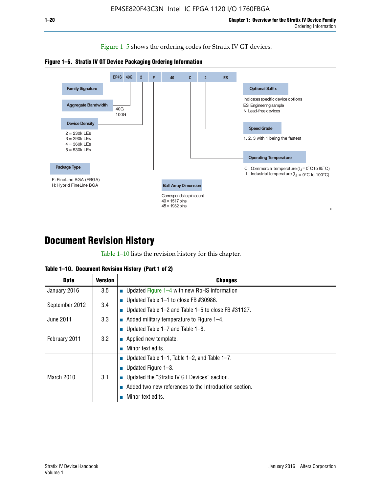Figure 1–5 shows the ordering codes for Stratix IV GT devices.





# **Document Revision History**

Table 1–10 lists the revision history for this chapter.

| Table 1–10. Document Revision History (Part 1 of 2) |  |  |  |  |  |
|-----------------------------------------------------|--|--|--|--|--|
|-----------------------------------------------------|--|--|--|--|--|

| <b>Date</b>       | Version | <b>Changes</b>                                         |
|-------------------|---------|--------------------------------------------------------|
| January 2016      | 3.5     | <b>Updated Figure 1–4 with new RoHS information</b>    |
| September 2012    | 3.4     | ■ Updated Table 1–1 to close FB $#30986$ .             |
|                   |         | Updated Table 1–2 and Table 1–5 to close FB $#31127$ . |
| June 2011         | 3.3     | Added military temperature to Figure 1–4.              |
| February 2011     | 3.2     | ■ Updated Table 1–7 and Table 1–8.                     |
|                   |         | $\blacksquare$ Applied new template.                   |
|                   |         | Minor text edits.                                      |
| <b>March 2010</b> |         | <b>Updated Table 1–1, Table 1–2, and Table 1–7.</b>    |
|                   | 3.1     | ■ Updated Figure $1-3$ .                               |
|                   |         | ■ Updated the "Stratix IV GT Devices" section.         |
|                   |         | Added two new references to the Introduction section.  |
|                   |         | Minor text edits.                                      |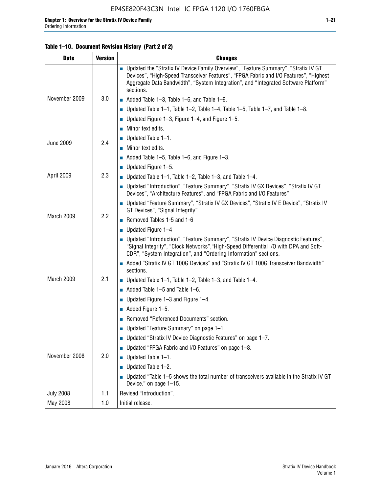#### **Table 1–10. Document Revision History (Part 2 of 2)**

| <b>Date</b>      | <b>Version</b> | <b>Changes</b>                                                                                                                                                                                                                                                                    |  |  |
|------------------|----------------|-----------------------------------------------------------------------------------------------------------------------------------------------------------------------------------------------------------------------------------------------------------------------------------|--|--|
|                  |                | ■ Updated the "Stratix IV Device Family Overview", "Feature Summary", "Stratix IV GT<br>Devices", "High-Speed Transceiver Features", "FPGA Fabric and I/O Features", "Highest<br>Aggregate Data Bandwidth", "System Integration", and "Integrated Software Platform"<br>sections. |  |  |
| November 2009    | 3.0            | $\blacksquare$ Added Table 1-3, Table 1-6, and Table 1-9.                                                                                                                                                                                                                         |  |  |
|                  |                | $\blacksquare$ Updated Table 1-1, Table 1-2, Table 1-4, Table 1-5, Table 1-7, and Table 1-8.                                                                                                                                                                                      |  |  |
|                  |                | ■ Updated Figure 1–3, Figure 1–4, and Figure 1–5.                                                                                                                                                                                                                                 |  |  |
|                  |                | $\blacksquare$ Minor text edits.                                                                                                                                                                                                                                                  |  |  |
|                  |                | $\blacksquare$ Updated Table 1-1.                                                                                                                                                                                                                                                 |  |  |
| <b>June 2009</b> | 2.4            | $\blacksquare$ Minor text edits.                                                                                                                                                                                                                                                  |  |  |
|                  |                | $\blacksquare$ Added Table 1-5, Table 1-6, and Figure 1-3.                                                                                                                                                                                                                        |  |  |
|                  |                | $\blacksquare$ Updated Figure 1-5.                                                                                                                                                                                                                                                |  |  |
| April 2009       | 2.3            | ■ Updated Table 1–1, Table 1–2, Table 1–3, and Table 1–4.                                                                                                                                                                                                                         |  |  |
|                  |                | ■ Updated "Introduction", "Feature Summary", "Stratix IV GX Devices", "Stratix IV GT<br>Devices", "Architecture Features", and "FPGA Fabric and I/O Features"                                                                                                                     |  |  |
|                  | 2.2            | ■ Updated "Feature Summary", "Stratix IV GX Devices", "Stratix IV E Device", "Stratix IV<br>GT Devices", "Signal Integrity"                                                                                                                                                       |  |  |
| March 2009       |                | Removed Tables 1-5 and 1-6                                                                                                                                                                                                                                                        |  |  |
|                  |                | $\blacksquare$ Updated Figure 1-4                                                                                                                                                                                                                                                 |  |  |
|                  |                | ■ Updated "Introduction", "Feature Summary", "Stratix IV Device Diagnostic Features",<br>"Signal Integrity", "Clock Networks", "High-Speed Differential I/O with DPA and Soft-<br>CDR", "System Integration", and "Ordering Information" sections.                                |  |  |
|                  |                | ■ Added "Stratix IV GT 100G Devices" and "Stratix IV GT 100G Transceiver Bandwidth"<br>sections.                                                                                                                                                                                  |  |  |
| March 2009       | 2.1            | ■ Updated Table 1–1, Table 1–2, Table 1–3, and Table 1–4.                                                                                                                                                                                                                         |  |  |
|                  |                | $\blacksquare$ Added Table 1–5 and Table 1–6.                                                                                                                                                                                                                                     |  |  |
|                  |                | ■ Updated Figure $1-3$ and Figure $1-4$ .                                                                                                                                                                                                                                         |  |  |
|                  |                | $\blacksquare$ Added Figure 1-5.                                                                                                                                                                                                                                                  |  |  |
|                  |                | Removed "Referenced Documents" section.                                                                                                                                                                                                                                           |  |  |
|                  | 2.0            | Updated "Feature Summary" on page 1-1.                                                                                                                                                                                                                                            |  |  |
| November 2008    |                | ■ Updated "Stratix IV Device Diagnostic Features" on page $1-7$ .                                                                                                                                                                                                                 |  |  |
|                  |                | Updated "FPGA Fabric and I/O Features" on page 1-8.                                                                                                                                                                                                                               |  |  |
|                  |                | Updated Table 1-1.                                                                                                                                                                                                                                                                |  |  |
|                  |                | Updated Table 1-2.                                                                                                                                                                                                                                                                |  |  |
|                  |                | Updated "Table 1-5 shows the total number of transceivers available in the Stratix IV GT<br>Device." on page 1-15.                                                                                                                                                                |  |  |
| <b>July 2008</b> | 1.1            | Revised "Introduction".                                                                                                                                                                                                                                                           |  |  |
| May 2008         | 1.0            | Initial release.                                                                                                                                                                                                                                                                  |  |  |